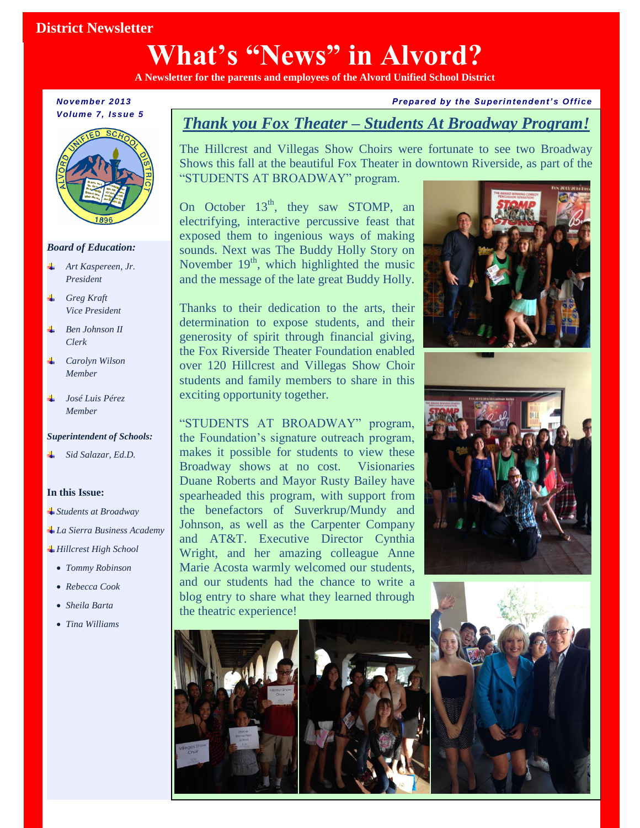## **District Newsletter**

# **What's "News" in Alvord?**

**A Newsletter for the parents and employees of the Alvord Unified School District** 

*November 2013 Volume 7, Issue 5*



### *Board of Education:*

- *Art Kaspereen, Jr. President*
- *Greg Kraft Vice President*
- *Ben Johnson II Clerk*
- *Carolyn Wilson Member*
- *José Luis Pérez Member*

### *Superintendent of Schools:*

*Sid Salazar, Ed.D.*

### **In this Issue:**

- *Students at Broadway*
- *La Sierra Business Academy*
- *Hillcrest High School*
	- dem *Tommy Robinson*
	- *Rebecca Cook*
	- *Sheila Barta*
	- *Tina Williams*

### *Prepared by the Superintendent' s Office*

## *Thank you Fox Theater – Students At Broadway Program!*

The Hillcrest and Villegas Show Choirs were fortunate to see two Broadway Shows this fall at the beautiful Fox Theater in downtown Riverside, as part of the "STUDENTS AT BROADWAY" program.

On October  $13<sup>th</sup>$ , they saw STOMP, an electrifying, interactive percussive feast that exposed them to ingenious ways of making sounds. Next was The Buddy Holly Story on November  $19<sup>th</sup>$ , which highlighted the music and the message of the late great Buddy Holly.

Thanks to their dedication to the arts, their determination to expose students, and their generosity of spirit through financial giving, the Fox Riverside Theater Foundation enabled over 120 Hillcrest and Villegas Show Choir students and family members to share in this exciting opportunity together.

**Duane Roberts and Mayor Rusty Bailey have** "STUDENTS AT BROADWAY" program, the Foundation's signature outreach program, makes it possible for students to view these Broadway shows at no cost. Visionaries spearheaded this program, with support from the benefactors of Suverkrup/Mundy and Johnson, as well as the Carpenter Company and AT&T. Executive Director Cynthia Wright, and her amazing colleague Anne Marie Acosta warmly welcomed our students, and our students had the chance to write a blog entry to share what they learned through the theatric experience!









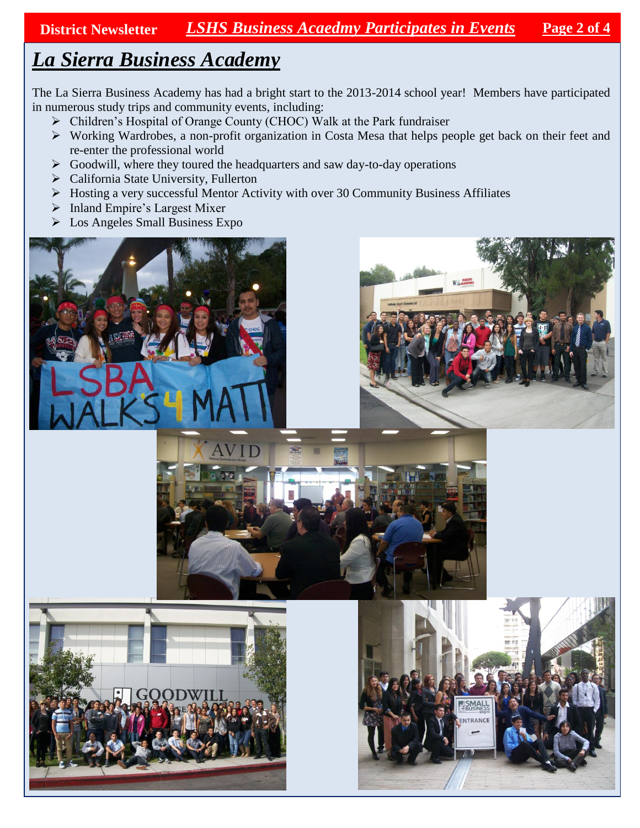**District Newsletter** *LSHS Business Acaedmy Participates in Events* **Page 2 of 4**

# *La Sierra Business Academy*

The La Sierra Business Academy has had a bright start to the 2013-2014 school year! Members have participated in numerous study trips and community events, including:

- Children's Hospital of Orange County (CHOC) Walk at the Park fundraiser
- Working Wardrobes, a non-profit organization in Costa Mesa that helps people get back on their feet and re-enter the professional world
- $\triangleright$  Goodwill, where they toured the headquarters and saw day-to-day operations
- > California State University, Fullerton
- Hosting a very successful Mentor Activity with over 30 Community Business Affiliates
- $\triangleright$  Inland Empire's Largest Mixer
- $\triangleright$  Los Angeles Small Business Expo









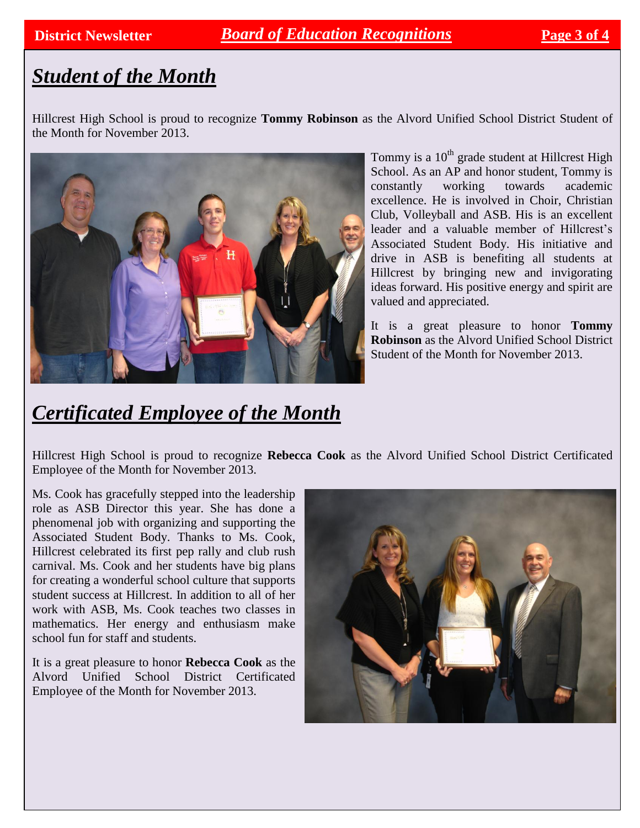## **District Newsletter** *Board of Education Recognitions*

# *Student of the Month*

Hillcrest High School is proud to recognize **Tommy Robinson** as the Alvord Unified School District Student of the Month for November 2013.



Tommy is a  $10<sup>th</sup>$  grade student at Hillcrest High School. As an AP and honor student, Tommy is constantly working towards academic excellence. He is involved in Choir, Christian Club, Volleyball and ASB. His is an excellent leader and a valuable member of Hillcrest's Associated Student Body. His initiative and drive in ASB is benefiting all students at Hillcrest by bringing new and invigorating ideas forward. His positive energy and spirit are valued and appreciated.

It is a great pleasure to honor **Tommy Robinson** as the Alvord Unified School District Student of the Month for November 2013.

# *Certificated Employee of the Month*

Hillcrest High School is proud to recognize **Rebecca Cook** as the Alvord Unified School District Certificated Employee of the Month for November 2013.

Ms. Cook has gracefully stepped into the leadership role as ASB Director this year. She has done a phenomenal job with organizing and supporting the Associated Student Body. Thanks to Ms. Cook, Hillcrest celebrated its first pep rally and club rush carnival. Ms. Cook and her students have big plans for creating a wonderful school culture that supports student success at Hillcrest. In addition to all of her work with ASB, Ms. Cook teaches two classes in mathematics. Her energy and enthusiasm make school fun for staff and students.

It is a great pleasure to honor **Rebecca Cook** as the Alvord Unified School District Certificated Employee of the Month for November 2013.